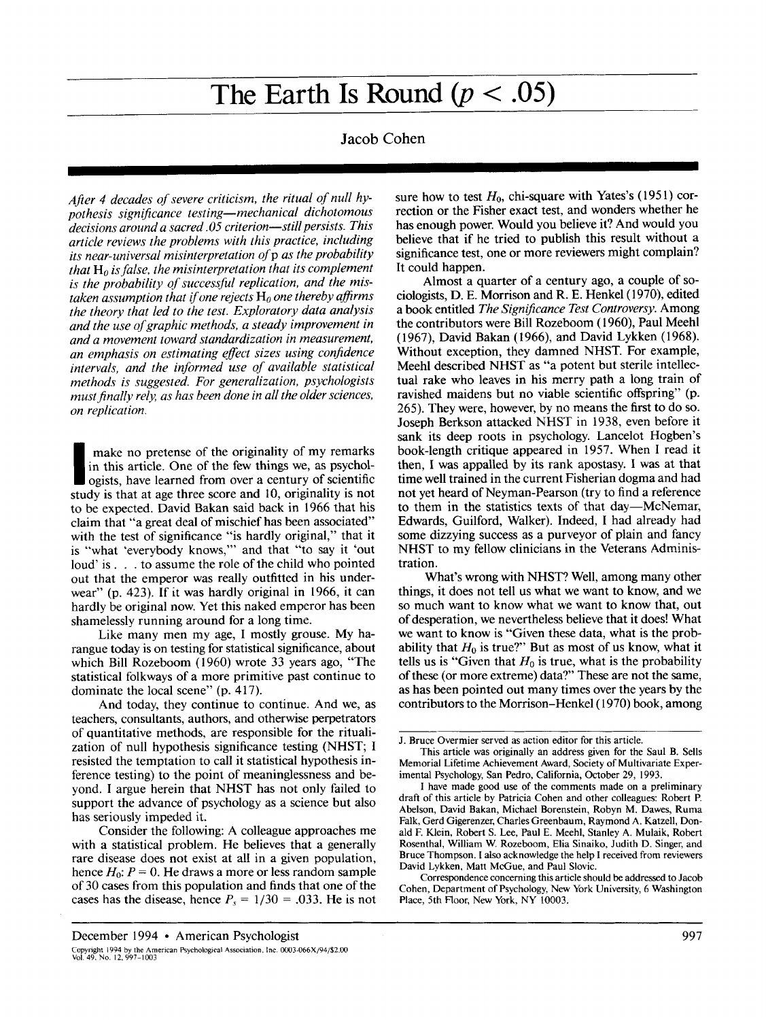# The Earth Is Round *(p <* .05)

#### Jacob Cohen

*After 4 decades of severe criticism, the ritual of null hypothesis significance testing*—*mechanical dichotomous decisions around a sacred .05 criterion*—*still persists. This article reviews the problems with this practice, including its near-universal misinterpretation ofp as the probability that*  $H_0$  *is false, the misinterpretation that its complement is the probability of successful replication, and the mistaken assumption that if one rejects*  $H_0$  *one thereby affirms the theory that led to the test. Exploratory data analysis and the use of graphic methods, a steady improvement in and a movement toward standardization in measurement, an emphasis on estimating effect sizes using confidence intervals, and the informed use of available statistical methods is suggested. For generalization, psychologists must finally rely, as has been done in all the older sciences, on replication.*

In this article. One of the few things we, as psychologists, have learned from over a century of scientific study is that at age three score and 10, originality is not make no pretense of the originality of my remarks in this article. One of the few things we, as psychologists, have learned from over a century of scientific to be expected. David Bakan said back in 1966 that his claim that "a great deal of mischief has been associated" with the test of significance "is hardly original," that it is "what 'everybody knows,'" and that "to say it 'out loud'is . . . to assume the role of the child who pointed out that the emperor was really outfitted in his underwear" (p. 423). If it was hardly original in 1966, it can hardly be original now. Yet this naked emperor has been shamelessly running around for a long time.

Like many men my age, I mostly grouse. My harangue today is on testing for statistical significance, about which Bill Rozeboom (1960) wrote 33 years ago, "The statistical folkways of a more primitive past continue to dominate the local scene" (p. 417).

And today, they continue to continue. And we, as teachers, consultants, authors, and otherwise perpetrators of quantitative methods, are responsible for the ritualization of null hypothesis significance testing (NHST; I resisted the temptation to call it statistical hypothesis inference testing) to the point of meaninglessness and beyond. I argue herein that NHST has not only failed to support the advance of psychology as a science but also has seriously impeded it.

Consider the following: A colleague approaches me with a statistical problem. He believes that a generally rare disease does not exist at all in a given population, hence  $H_0$ :  $P = 0$ . He draws a more or less random sample of 30 cases from this population and finds that one of the cases has the disease, hence  $P_s = 1/30 = .033$ . He is not

sure how to test  $H_0$ , chi-square with Yates's (1951) correction or the Fisher exact test, and wonders whether he has enough power. Would you believe it? And would you believe that if he tried to publish this result without a significance test, one or more reviewers might complain? It could happen.

Almost a quarter of a century ago, a couple of sociologists, D. E. Morrison and R. E. Henkel (1970), edited **a book entitled** *The Significance Test Controversy.* Among the contributors were Bill Rozeboom (1960), Paul Meehl (1967), David Bakan (1966), and David Lykken (1968). Without exception, they damned NHST. For example, Meehl described NHST as "a potent but sterile intellectual rake who leaves in his merry path a long train of ravished maidens but no viable scientific offspring" (p. 265). They were, however, by no means the first to do so. Joseph Berkson attacked NHST in 1938, even before it sank its deep roots in psychology. Lancelot Hogben's book-length critique appeared in 1957. When I read it then, I was appalled by its rank apostasy. I was at that time well trained in the current Fisherian dogma and had not yet heard of Neyman-Pearson (try to find a reference to them in the statistics texts of that day—McNemar, Edwards, Guilford, Walker). Indeed, I had already had some dizzying success as a purveyor of plain and fancy NHST to my fellow clinicians in the Veterans Administration.

What's wrong with NHST? Well, among many other things, it does not tell us what we want to know, and we so much want to know what we want to know that, out of desperation, we nevertheless believe that it does! What we want to know is "Given these data, what is the probability that  $H_0$  is true?" But as most of us know, what it tells us is "Given that  $H_0$  is true, what is the probability of these (or more extreme) data?" These are not the same, as has been pointed out many times over the years by the contributors to the Morrison-Henkel (1970) book, among

Correspondence concerning this article should be addressed to Jacob Cohen, Department of Psychology, New York University, 6 Washington Place, 5th Floor, New York, NY 10003.

J. Bruce Overmier served as action editor for this article.

This article was originally an address given for the Saul B. Sells Memorial Lifetime Achievement Award, Society of Multivariate Experimental Psychology, San Pedro, California, October 29, 1993.

I have made good use of the comments made on a preliminary draft of this article by Patricia Cohen and other colleagues: Robert P. Abelson, David Bakan, Michael Borenstein, Robyn M. Dawes, Ruma Falk, Gerd Gigerenzer, Charles Greenbaum, Raymond A. Katzell, Donald F. Klein, Robert S. Lee, Paul E. Meehl, Stanley A. Mulaik, Robert Rosenthal, William W. Rozeboom, Elia Sinaiko, Judith D. Singer, and Bruce Thompson. I also acknowledge the help I received from reviewers David Lykken, Matt McGue, and Paul Slovic.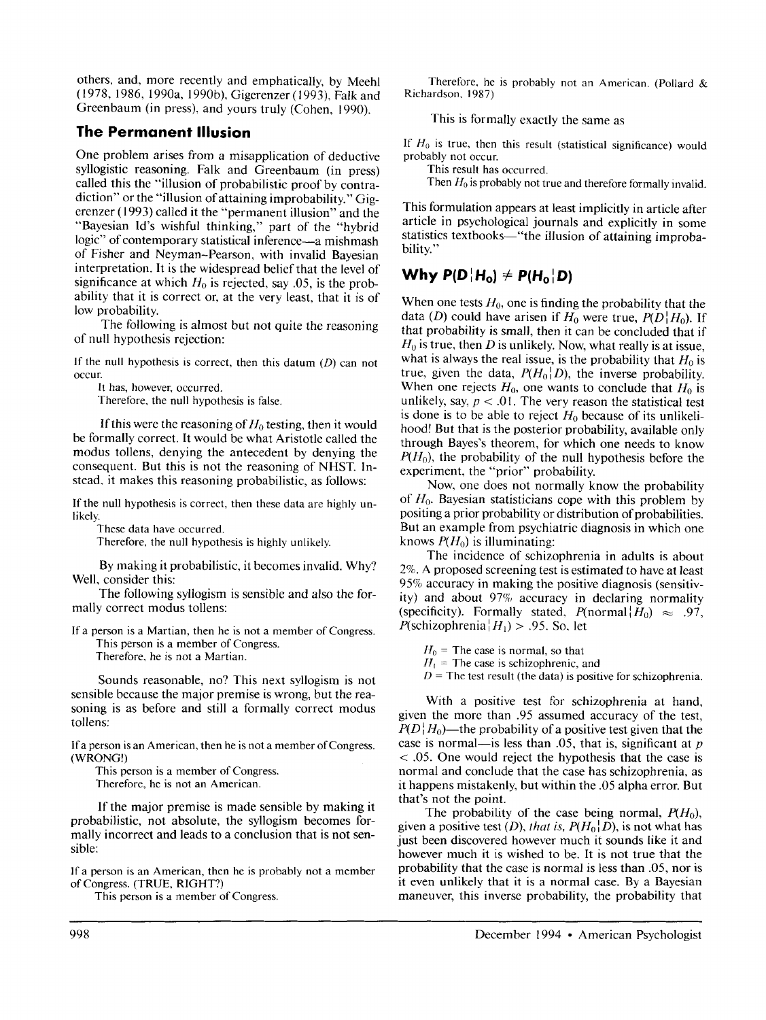others, and, more recently and emphatically, by Meehl (1978, 1986, 1990a, 1990b), Gigerenzer( 1993), Falk and Greenbaum (in press), and yours truly (Cohen, 1990).

### **The Permanent Illusion**

One problem arises from a misapplication of deductive syllogistic reasoning. Falk and Greenbaum (in press) called this the "illusion of probabilistic proof by contradiction" or the "illusion of attaining improbability." Gigerenzer (1993) called it the "permanent illusion" and the "Bayesian Id's wishful thinking," part of the "hybrid logic" of contemporary statistical inference—a mishmash of Fisher and Neyman-Pearson, with invalid Bayesian interpretation. It is the widespread belief that the level of significance at which  $H_0$  is rejected, say .05, is the probability that it is correct or, at the very least, that it is of low probability.

The following is almost but not quite the reasoning of null hypothesis rejection:

If the null hypothesis is correct, then this datum *(D)* can not occur.

It has, however, occurred.

Therefore, the null hypothesis is false.

If this were the reasoning of *Ho* testing, then it would be formally correct. It would be what Aristotle called the modus tollens, denying the antecedent by denying the consequent. But this is not the reasoning of NHST. Instead, it makes this reasoning probabilistic, as follows:

If the null hypothesis is correct, then these data are highly unlikely.

These data have occurred.

Therefore, the null hypothesis is highly unlikely.

By making it probabilistic, it becomes invalid. Why? Well, consider this:

The following syllogism is sensible and also the formally correct modus tollens:

If a person is a Martian, then he is not a member of Congress. This person is a member of Congress. Therefore, he is not a Martian.

Sounds reasonable, no? This next syllogism is not sensible because the major premise is wrong, but the reasoning is as before and still a formally correct modus tollens:

If a person is an American, then he is not a member of Congress. (WRONG!)

This person is a member of Congress.

Therefore, he is not an American.

If the major premise is made sensible by making it probabilistic, not absolute, the syllogism becomes formally incorrect and leads to a conclusion that is not sensible:

If a person is an American, then he is probably not a member of Congress. (TRUE, RIGHT?)

This person is a member of Congress.

Therefore, he is probably not an American. (Pollard & Richardson. 1987)

This is formally exactly the same as

If *Ho* is true, then this result (statistical significance) would probably not occur.

This result has occurred.

Then *Ho* is probably not true and therefore formally invalid.

This formulation appears at least implicitly in article after article in psychological journals and explicitly in some statistics textbooks—"the illusion of attaining improbability."

# **Why**  $P(D|H_0) \neq P(H_0|D)$

When one tests  $H_0$ , one is finding the probability that the data (D) could have arisen if  $H_0$  were true,  $P(D|H_0)$ . If that probability is small, then it can be concluded that if  $H_0$  is true, then  $D$  is unlikely. Now, what really is at issue, what is always the real issue, is the probability that *Ho* is true, given the data,  $P(H_0|D)$ , the inverse probability. When one rejects  $H_0$ , one wants to conclude that  $H_0$  is unlikely, say,  $p < .01$ . The very reason the statistical test is done is to be able to reject *Ho* because of its unlikelihood! But that is the posterior probability, available only through Bayes's theorem, for which one needs to know  $P(H_0)$ , the probability of the null hypothesis before the experiment, the "prior" probability.

Now, one does not normally know the probability of *Ho.* Bayesian statisticians cope with this problem by positing a prior probability or distribution of probabilities. But an example from psychiatric diagnosis in which one knows  $P(H_0)$  is illuminating:

The incidence of schizophrenia in adults is about 2%. A proposed screening test is estimated to have at least 95% accuracy in making the positive diagnosis (sensitivity) and about 97% accuracy in declaring normality (specificity). Formally stated,  $P(\text{normal } | H_0) \approx .97$ ,  $P(\text{schizophrenia} | H_1) > .95$ . So, let

 $H_0$  = The case is normal, so that

 $H_1$  = The case is schizophrenic, and

*D =* The test result (the data) is positive for schizophrenia.

With a positive test for schizophrenia at hand, given the more than .95 assumed accuracy of the test,  $P(D|H_0)$ —the probability of a positive test given that the case is normal—is less than .05, that is, significant at *p <* .05. One would reject the hypothesis that the case is normal and conclude that the case has schizophrenia, as it happens mistakenly, but within the .05 alpha error. But that's not the point.

The probability of the case being normal, *P(H0),* given a positive test (D), that is,  $P(H_0 | D)$ , is not what has just been discovered however much it sounds like it and however much it is wished to be. It is not true that the probability that the case is normal is less than .05, nor is it even unlikely that it is a normal case. By a Bayesian maneuver, this inverse probability, the probability that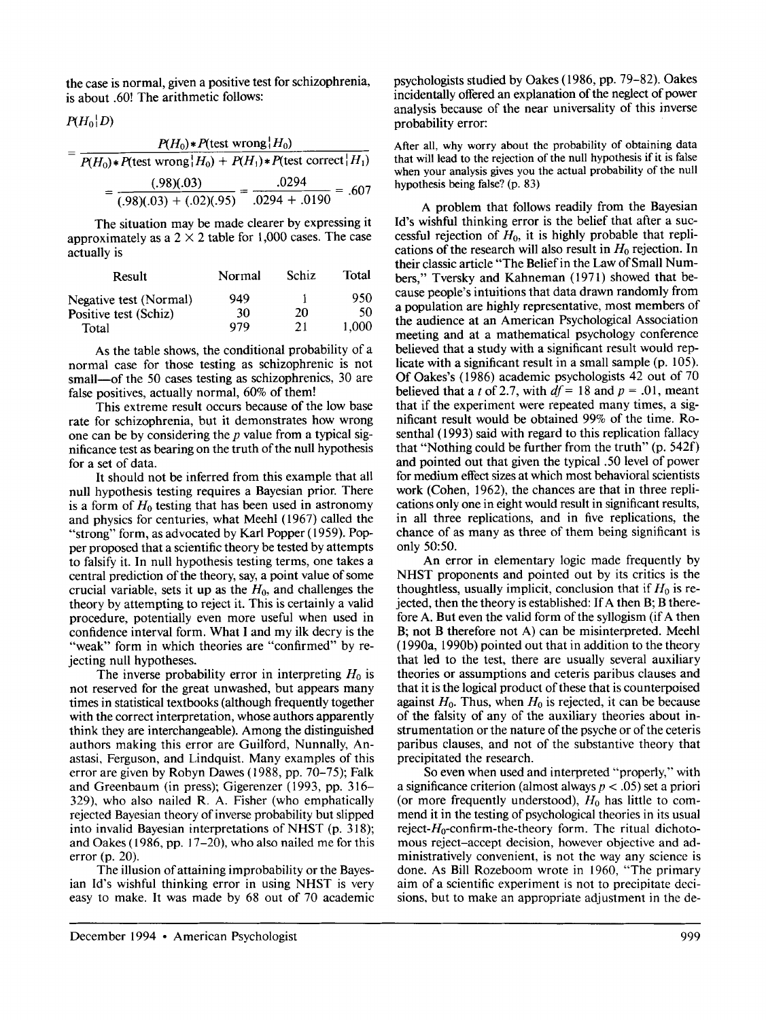the case is normal, given a positive test for schizophrenia, is about .60! The arithmetic follows:

 $P(H_0|D)$ 

$$
= \frac{P(H_0) * P(\text{test wrong}|H_0)}{P(H_0) * P(\text{test wrong}|H_0) + P(H_1) * P(\text{test correct}|H_1)}
$$

$$
= \frac{(.98)(.03)}{(.98)(.03) + (.02)(.95)} = \frac{.0294}{.0294 + .0190} = .607
$$

The situation may be made clearer by expressing it approximately as a  $2 \times 2$  table for 1,000 cases. The case actually is

| Result                 | Normal | Schiz | Total |
|------------------------|--------|-------|-------|
| Negative test (Normal) | 949    | -1    | 950.  |
| Positive test (Schiz)  | 30     | 20    | 50    |
| Total                  | 979    | 21    | 1.000 |

As the table shows, the conditional probability of a normal case for those testing as schizophrenic is not small—of the 50 cases testing as schizophrenics, 30 are false positives, actually normal, 60% of them!

This extreme result occurs because of the low base rate for schizophrenia, but it demonstrates how wrong one can be by considering the *p* value from a typical significance test as bearing on the truth of the null hypothesis for a set of data.

It should not be inferred from this example that all null hypothesis testing requires a Bayesian prior. There is a form of  $H_0$  testing that has been used in astronomy and physics for centuries, what Meehl (1967) called the "strong" form, as advocated by Karl Popper (1959). Popper proposed that a scientific theory be tested by attempts to falsify it. In null hypothesis testing terms, one takes a central prediction of the theory, say, a point value of some crucial variable, sets it up as the *Ho,* and challenges the theory by attempting to reject it. This is certainly a valid procedure, potentially even more useful when used in confidence interval form. What I and my ilk decry is the "weak" form in which theories are "confirmed" by rejecting null hypotheses.

The inverse probability error in interpreting *Ho* is not reserved for the great unwashed, but appears many times in statistical textbooks (although frequently together with the correct interpretation, whose authors apparently think they are interchangeable). Among the distinguished authors making this error are Guilford, Nunnally, Anastasi, Ferguson, and Lindquist. Many examples of this error are given by Robyn Dawes (1988, pp. 70-75); Falk and Greenbaum (in press); Gigerenzer (1993, pp. 316— 329), who also nailed R. A. Fisher (who emphatically rejected Bayesian theory of inverse probability but slipped into invalid Bayesian interpretations of NHST (p. 318); and Oakes (1986, pp. 17-20), who also nailed me for this error (p. 20).

The illusion of attaining improbability or the Bayesian Id's wishful thinking error in using NHST is very easy to make. It was made by 68 out of 70 academic psychologists studied by Oakes (1986, pp. 79-82). Oakes incidentally offered an explanation of the neglect of power analysis because of the near universality of this inverse probability error:

After all, why worry about the probability of obtaining data that will lead to the rejection of the null hypothesis if it is false when your analysis gives you the actual probability of the null hypothesis being false? (p. 83)

A problem that follows readily from the Bayesian Id's wishful thinking error is the belief that after a successful rejection of  $H_0$ , it is highly probable that replications of the research will also result in *Ho* rejection. In their classic article "The Belief in the Law of Small Numbers," Tversky and Kahneman (1971) showed that because people's intuitions that data drawn randomly from a population are highly representative, most members of the audience at an American Psychological Association meeting and at a mathematical psychology conference believed that a study with a significant result would replicate with a significant result in a small sample (p. 105). Of Oakes's (1986) academic psychologists 42 out of 70 believed that a *t* of 2.7, with  $df = 18$  and  $p = .01$ , meant that if the experiment were repeated many times, a significant result would be obtained 99% of the time. Rosenthal (1993) said with regard to this replication fallacy that "Nothing could be further from the truth" (p. 542f) and pointed out that given the typical .50 level of power for medium effect sizes at which most behavioral scientists work (Cohen, 1962), the chances are that in three replications only one in eight would result in significant results, in all three replications, and in five replications, the chance of as many as three of them being significant is only 50:50.

An error in elementary logic made frequently by NHST proponents and pointed out by its critics is the thoughtless, usually implicit, conclusion that if *Ho* is rejected, then the theory is established: If A then B; B therefore A. But even the valid form of the syllogism (if A then B; not B therefore not A) can be misinterpreted. Meehl (1990a, 1990b) pointed out that in addition to the theory that led to the test, there are usually several auxiliary theories or assumptions and ceteris paribus clauses and that it is the logical product of these that is counterpoised against  $H_0$ . Thus, when  $H_0$  is rejected, it can be because of the falsity of any of the auxiliary theories about instrumentation or the nature of the psyche or of the ceteris paribus clauses, and not of the substantive theory that precipitated the research.

So even when used and interpreted "properly," with a significance criterion (almost always *p <* .05) set a priori (or more frequently understood), *Ho* has little to commend it in the testing of psychological theories in its usual reject- $H_0$ -confirm-the-theory form. The ritual dichotomous reject-accept decision, however objective and administratively convenient, is not the way any science is done. As Bill Rozeboom wrote in 1960, "The primary aim of a scientific experiment is not to precipitate decisions, but to make an appropriate adjustment in the de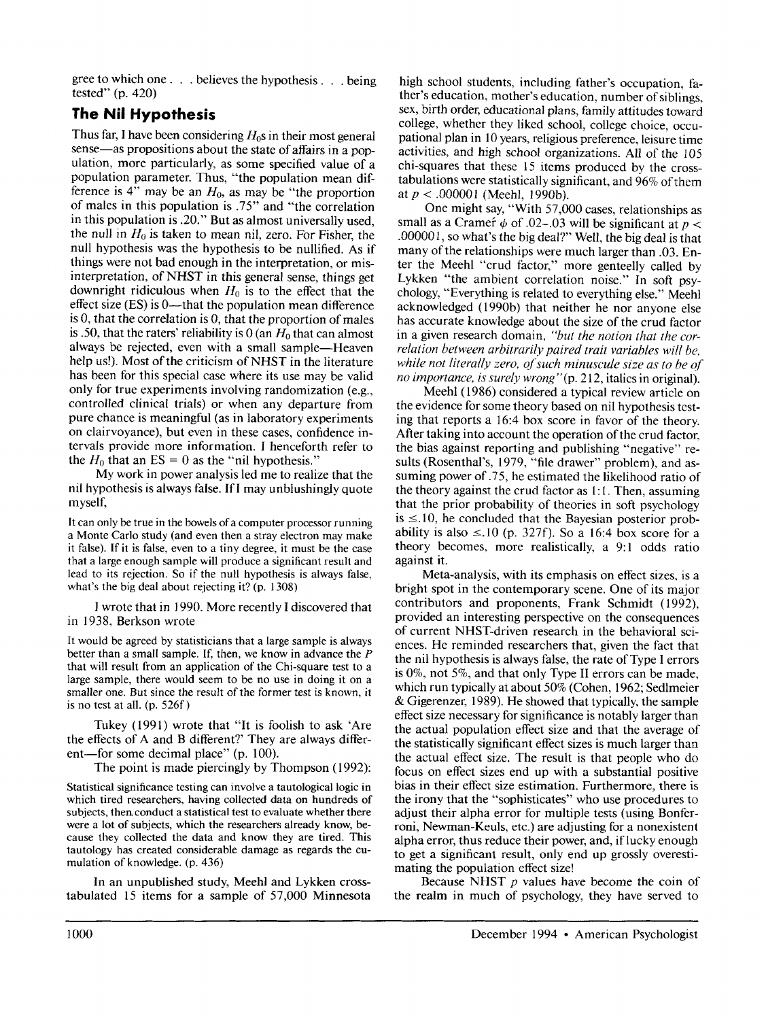gree to which one . . . believes the hypothesis . . . being tested" (p. 420)

# **The Nil Hypothesis**

Thus far, I have been considering *Hos* in their most general sense—as propositions about the state of affairs in a population, more particularly, as some specified value of a population parameter. Thus, "the population mean difference is 4" may be an *Ho,* as may be "the proportion of males in this population is .75" and "the correlation in this population is .20." But as almost universally used, the null in *Ho* is taken to mean nil, zero. For Fisher, the null hypothesis was the hypothesis to be nullified. As if things were not bad enough in the interpretation, or misinterpretation, of NHST in this general sense, things get downright ridiculous when *Ho* is to the effect that the effect size (ES) is 0—that the population mean difference is 0, that the correlation is 0, that the proportion of males is .50, that the raters' reliability is 0 (an *Ho* that can almost always be rejected, even with a small sample—Heaven help us!). Most of the criticism of NHST in the literature has been for this special case where its use may be valid only for true experiments involving randomization (e.g., controlled clinical trials) or when any departure from pure chance is meaningful (as in laboratory experiments on clairvoyance), but even in these cases, confidence intervals provide more information. I henceforth refer to the  $H_0$  that an ES = 0 as the "nil hypothesis."

My work in power analysis led me to realize that the nil hypothesis is always false. If I may unblushingly quote myself,

It can only be true in the bowels of a computer processor running a Monte Carlo study (and even then a stray electron may make it false). If it is false, even to a tiny degree, it must be the case that a large enough sample will produce a significant result and lead to its rejection. So if the null hypothesis is always false, what's the big deal about rejecting it? (p. 1308)

I wrote that in 1990. More recently I discovered that in 1938, Berkson wrote

It would be agreed by statisticians that a large sample is always better than a small sample. If, then, we know in advance the *P* that will result from an application of the Chi-square test to a large sample, there would seem to be no use in doing it on a smaller one. But since the result of the former test is known, it is no test at all. (p. 526f)

Tukey (1991) wrote that "It is foolish to ask 'Are the effects of A and B different?' They are always different—for some decimal place" (p. 100).

The point is made piercingly by Thompson (1992):

Statistical significance testing can involve a tautological logic in which tired researchers, having collected data on hundreds of subjects, then, conduct a statistical test to evaluate whether there were a lot of subjects, which the researchers already know, because they collected the data and know they are tired. This tautology has created considerable damage as regards the cumulation of knowledge, (p. 436)

In an unpublished study, Meehl and Lykken crosstabulated 15 items for a sample of 57,000 Minnesota

high school students, including father's occupation, father's education, mother's education, number of siblings, sex, birth order, educational plans, family attitudes toward college, whether they liked school, college choice, occupational plan in 10 years, religious preference, leisure time activities, and high school organizations. AH of the 105 chi-squares that these 15 items produced by the crosstabulations were statistically significant, and 96% of them *a\p<* .000001 (Meehl, 1990b).

One might say, "With 57,000 cases, relationships as small as a Cramer<sup> $\phi$  of .02–.03 will be significant at *p* <</sup> .000001, so what's the big deal?" Well, the big deal is that many of the relationships were much larger than .03. Enter the Meehl "crud factor," more genteelly called by Lykken "the ambient correlation noise." In soft psychology, "Everything is related to everything else." Meehl acknowledged (1990b) that neither he nor anyone else has accurate knowledge about the size of the crud factor in a given research domain, *"but the notion that the correlation between arbitrarily paired trait variables will be, while not literally zero, of such minuscule size as to be of no importance, is surely wrong"* (p. 212, italics in original).

Meehl (1986) considered a typical review article on the evidence for some theory based on nil hypothesis testing that reports a 16:4 box score in favor of the theory. After taking into account the operation of the crud factor, the bias against reporting and publishing "negative" results (Rosenthal's, 1979, "file drawer" problem), and assuming power of .75, he estimated the likelihood ratio of the theory against the crud factor as 1:1. Then, assuming that the prior probability of theories in soft psychology is  $\leq 10$ , he concluded that the Bayesian posterior probability is also  $\leq 10$  (p. 327f). So a 16:4 box score for a theory becomes, more realistically, a 9:1 odds ratio against it.

Meta-analysis, with its emphasis on effect sizes, is a bright spot in the contemporary scene. One of its major contributors and proponents, Frank Schmidt (1992), provided an interesting perspective on the consequences of current NHST-driven research in the behavioral sciences. He reminded researchers that, given the fact that the nil hypothesis is always false, the rate of Type I errors is 0%, not 5%, and that only Type II errors can be made, which run typically at about 50% (Cohen, 1962; Sedlmeier & Gigerenzer, 1989). He showed that typically, the sample effect size necessary for significance is notably larger than the actual population effect size and that the average of the statistically significant effect sizes is much larger than the actual effect size. The result is that people who do focus on effect sizes end up with a substantial positive bias in their effect size estimation. Furthermore, there is the irony that the "sophisticates" who use procedures to adjust their alpha error for multiple tests (using Bonferroni, Newman-Keuls, etc.) are adjusting for a nonexistent alpha error, thus reduce their power, and, if lucky enough to get a significant result, only end up grossly overestimating the population effect size!

Because NHST *p* values have become the coin of the realm in much of psychology, they have served to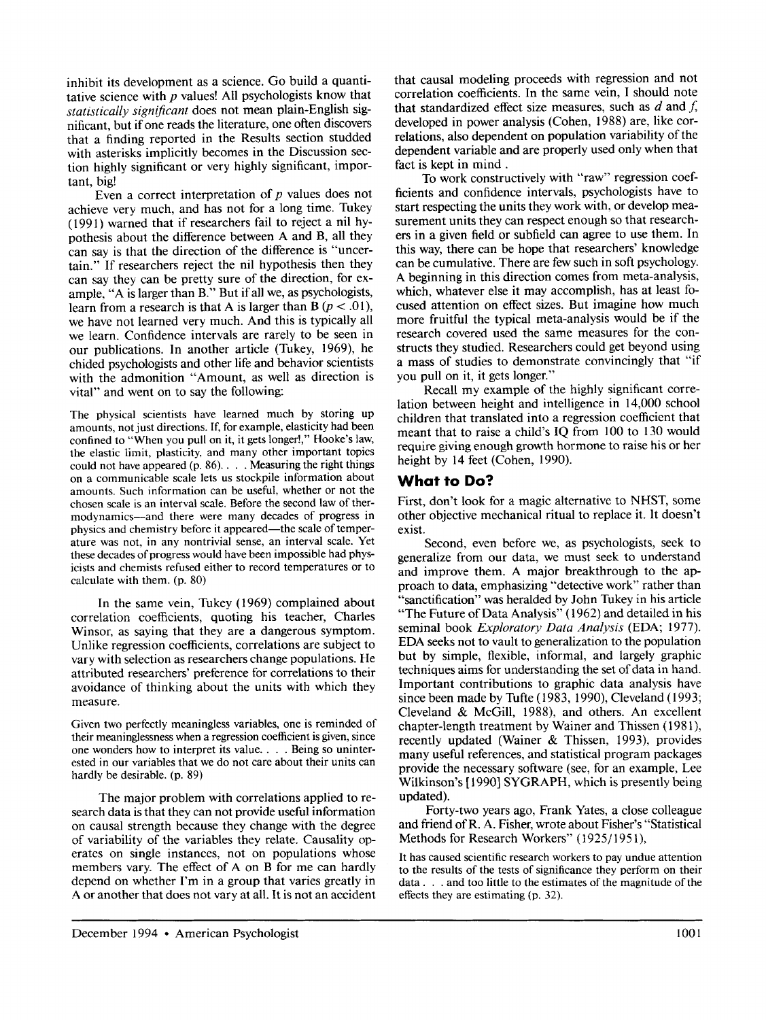inhibit its development as a science. Go build a quantitative science with *p* values! All psychologists know that *statistically significant* does not mean plain-English significant, but if one reads the literature, one often discovers that a finding reported in the Results section studded with asterisks implicitly becomes in the Discussion section highly significant or very highly significant, important, big!

Even a correct interpretation of *p* values does not achieve very much, and has not for a long time. Tukey (1991) warned that if researchers fail to reject a nil hypothesis about the difference between A and B, all they can say is that the direction of the difference is "uncertain." If researchers reject the nil hypothesis then they can say they can be pretty sure of the direction, for example, "A is larger than B." But if all we, as psychologists, learn from a research is that A is larger than B *(p <* .01), we have not learned very much. And this is typically all we learn. Confidence intervals are rarely to be seen in our publications. In another article (Tukey, 1969), he chided psychologists and other life and behavior scientists with the admonition "Amount, as well as direction is vital" and went on to say the following:

The physical scientists have learned much by storing up amounts, not just directions. If, for example, elasticity had been confined to "When you pull on it, it gets longer!," Hooke's law, the elastic limit, plasticity, and many other important topics could not have appeared (p. 86).. . . Measuring the right things on a communicable scale lets us stockpile information about amounts. Such information can be useful, whether or not the chosen scale is an interval scale. Before the second law of thermodynamics—and there were many decades of progress in physics and chemistry before it appeared—the scale of temperature was not, in any nontrivial sense, an interval scale. Yet these decades of progress would have been impossible had physicists and chemists refused either to record temperatures or to calculate with them. (p. 80)

In the same vein, Tukey (1969) complained about correlation coefficients, quoting his teacher, Charles Winsor, as saying that they are a dangerous symptom. Unlike regression coefficients, correlations are subject to vary with selection as researchers change populations. He attributed researchers' preference for correlations to their avoidance of thinking about the units with which they measure.

Given two perfectly meaningless variables, one is reminded of their meaninglessness when a regression coefficient is given, since one wonders how to interpret its value. . . . Being so uninterested in our variables that we do not care about their units can hardly be desirable, (p. 89)

The major problem with correlations applied to research data is that they can not provide useful information on causal strength because they change with the degree of variability of the variables they relate. Causality operates on single instances, not on populations whose members vary. The effect of A on B for me can hardly depend on whether I'm in a group that varies greatly in A or another that does not vary at all. It is not an accident that causal modeling proceeds with regression and not correlation coefficients. In the same vein, I should note that standardized effect size measures, such as *d* and / developed in power analysis (Cohen, 1988) are, like correlations, also dependent on population variability of the dependent variable and are properly used only when that fact is kept in mind .

To work constructively with "raw" regression coefficients and confidence intervals, psychologists have to start respecting the units they work with, or develop measurement units they can respect enough so that researchers in a given field or subfield can agree to use them. In this way, there can be hope that researchers' knowledge can be cumulative. There are few such in soft psychology. A beginning in this direction comes from meta-analysis, which, whatever else it may accomplish, has at least focused attention on effect sizes. But imagine how much more fruitful the typical meta-analysis would be if the research covered used the same measures for the constructs they studied. Researchers could get beyond using a mass of studies to demonstrate convincingly that "if you pull on it, it gets longer."

Recall my example of the highly significant correlation between height and intelligence in 14,000 school children that translated into a regression coefficient that meant that to raise a child's IQ from 100 to 130 would require giving enough growth hormone to raise his or her height by 14 feet (Cohen, 1990).

#### **What to Do?**

First, don't look for a magic alternative to NHST, some other objective mechanical ritual to replace it. It doesn't exist.

Second, even before we, as psychologists, seek to generalize from our data, we must seek to understand and improve them. A major breakthrough to the approach to data, emphasizing "detective work" rather than 'sanctification" was heralded by John Tukey in his article "The Future of Data Analysis" (1962) and detailed in his seminal book *Exploratory Data Analysis* (EDA; 1977). EDA seeks not to vault to generalization to the population but by simple, flexible, informal, and largely graphic techniques aims for understanding the set of data in hand. Important contributions to graphic data analysis have since been made by Tufte (1983, 1990), Cleveland (1993; Cleveland & McGill, 1988), and others. An excellent chapter-length treatment by Wainer and Thissen (1981), recently updated (Wainer & Thissen, 1993), provides many useful references, and statistical program packages provide the necessary software (see, for an example, Lee Wilkinson's [1990] SYGRAPH, which is presently being updated).

Forty-two years ago, Frank Yates, a close colleague and friend of R. A. Fisher, wrote about Fisher's "Statistical Methods for Research Workers" (1925/1951),

It has caused scientific research workers to pay undue attention to the results of the tests of significance they perform on their data. . . and too little to the estimates of the magnitude of the effects they are estimating (p. 32).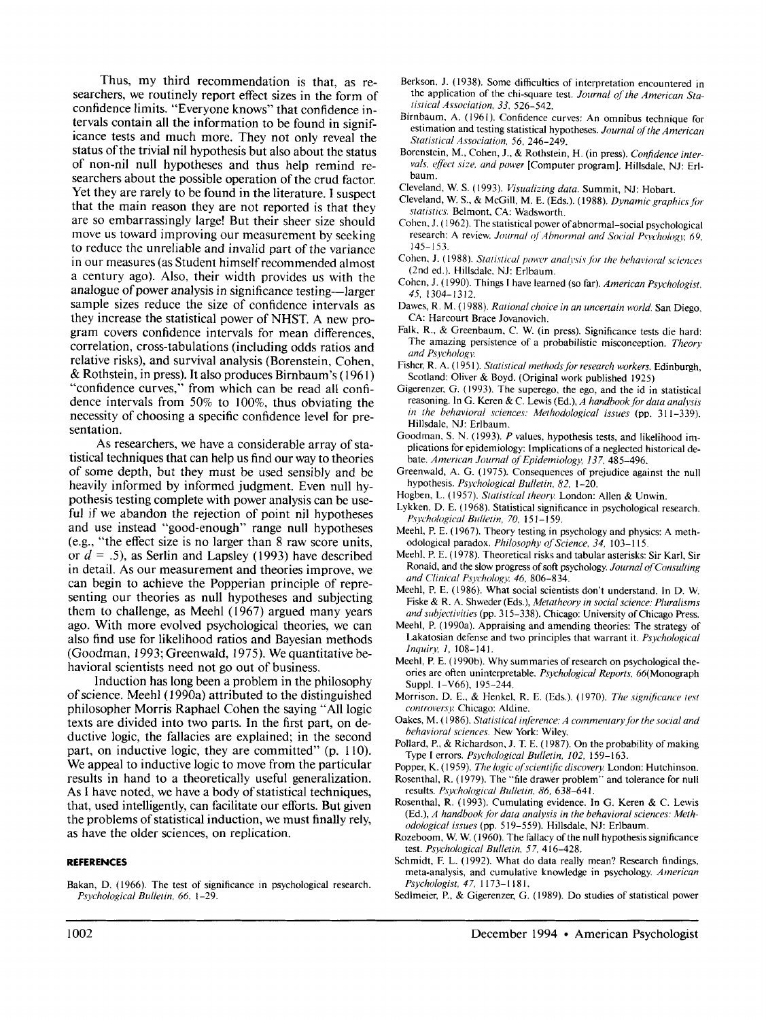Thus, my third recommendation is that, as researchers, we routinely report effect sizes in the form of confidence limits. "Everyone knows" that confidence intervals contain all the information to be found in significance tests and much more. They not only reveal the status of the trivial nil hypothesis but also about the status of non-nil null hypotheses and thus help remind researchers about the possible operation of the crud factor. Yet they are rarely to be found in the literature. I suspect that the main reason they are not reported is that they are so embarrassingly large! But their sheer size should move us toward improving our measurement by seeking to reduce the unreliable and invalid part of the variance in our measures (as Student himself recommended almost a century ago). Also, their width provides us with the analogue of power analysis in significance testing—larger sample sizes reduce the size of confidence intervals as they increase the statistical power of NHST. A new program covers confidence intervals for mean differences, correlation, cross-tabulations (including odds ratios and relative risks), and survival analysis (Borenstein, Cohen, & Rothstein, in press). It also produces Birnbaum's (1961) "confidence curves," from which can be read all confidence intervals from 50% to 100%, thus obviating the necessity of choosing a specific confidence level for presentation.

As researchers, we have a considerable array of statistical techniques that can help us find our way to theories of some depth, but they must be used sensibly and be heavily informed by informed judgment. Even null hypothesis testing complete with power analysis can be useful if we abandon the rejection of point nil hypotheses and use instead "good-enough" range null hypotheses (e.g., "the effect size is no larger than 8 raw score units, or  $d = .5$ ), as Serlin and Lapsley (1993) have described in detail. As our measurement and theories improve, we can begin to achieve the Popperian principle of representing our theories as null hypotheses and subjecting them to challenge, as Meehl (1967) argued many years ago. With more evolved psychological theories, we can also find use for likelihood ratios and Bayesian methods (Goodman, 1993;Greenwald, 1975). We quantitative behavioral scientists need not go out of business.

Induction has long been a problem in the philosophy of science. Meehl (1990a) attributed to the distinguished philosopher Morris Raphael Cohen the saying "All logic texts are divided into two parts. In the first part, on deductive logic, the fallacies are explained; in the second part, on inductive logic, they are committed" (p. 110). We appeal to inductive logic to move from the particular results in hand to a theoretically useful generalization. As I have noted, we have a body of statistical techniques, that, used intelligently, can facilitate our efforts. But given the problems of statistical induction, we must finally rely, as have the older sciences, on replication.

#### **REFERENCES**

Bakan, D. (1966). The test of significance in psychological research. *Psychological Bulletin, 66,* 1-29.

- Berkson, J. (1938). Some difficulties of interpretation encountered in the application of the chi-square test. *Journal of the American Statistical Association, 33,* 526-542.
- Birnbaum, A. (1961). Confidence curves: An omnibus technique for estimation and testing statistical hypotheses. *Journal of the American Statistical Association, 56,* 246-249.
- Borenstein, M., Cohen, J., & Rothstein, H. (in press). *Confidence intervals, effect size, and power* [Computer program]. Hillsdale, NJ: Erlbaum.
- Cleveland, W. S. (1993). *Visualizing data.* Summit, NJ: Hobart.
- Cleveland, W. S., & McGill, M. E. (Eds.). (1988). *Dynamic graphics for statistics.* Belmont, CA: Wadsworth.
- Cohen. J. (1962). The statistical power of abnormal-social psychological research: A review. *Journal of Abnormal and Social Psychology 69* 145-153.
- Cohen, J. (1988). *Statistical power analysis for the behavioral sciences* (2nd ed.). Hillsdale. NJ: Erlbaum.
- Cohen, J. (1990). Things I have learned (so far). *American Psychologist 45,* 1304-1312.
- Dawes, R. M. (1988). *Rational choice in an uncertain world.* San Diego, CA: Harcourt Brace Jovanovich.
- Falk, R., & Greenbaum, C. W. (in press). Significance tests die hard: The amazing persistence of a probabilistic misconception. *Theory and Psychology.*
- Fisher, R. A. (1951). *Statistical methods for research workers.* Edinburgh, Scotland: Oliver & Boyd. (Original work published 1925)
- Gigerenzer, G. (1993). The superego, the ego, and the id in statistical reasoning. In G. Keren & C. Lewis (Ed.), *A handbook for data analysis in the behavioral sciences: Methodological issues* (pp. 311-339). Hillsdale, NJ: Erlbaum.
- Goodman, S. N. (1993). *P* values, hypothesis tests, and likelihood implications for epidemiology: Implications of a neglected historical debate. *American Journal of Epidemiology, 137.* 485-496.
- Greenwald, A. G. (1975). Consequences of prejudice against the null hypothesis. *Psychological Bulletin, 82,* 1-20.
- Hogben, L. (1957). *Statistical theory.* London: Allen & Unwin.
- Lykken, D. E. (1968). Statistical significance in psychological research. *Psychological Bulletin, 70,* 151-159.
- Meehl, P. E. (1967). Theory testing in psychology and physics: A methodological paradox. *Philosophy of Science, 34,* 103-115.
- Meehl. P. E. (1978). Theoretical risks and tabular asterisks: Sir Karl, Sir Ronald, and the slow progress of soft psychology. *Journal of Consulting and Clinical Psychology, 46,* 806-834.
- Meehl, P. E. (1986). What social scientists don't understand. In D. W. Fiske & R. A. Shweder (Eds.), *Metaiheory in social science: Pluralisms and subjectivities (pp.* 315-338). Chicago: University of Chicago Press.
- Meehl, P. (1990a). Appraising and amending theories: The strategy of Lakatosian defense and two principles that warrant it. *Psychological Inquiry, 1,* 108-141.
- Meehl, P. E. (1990b). Why summaries of research on psychological theories are often uninterpretable. *Psychological Reports,* 66(Monograph Suppl. 1-V66), 195-244.
- Morrison. D. E., & Henkel, R. E. (Eds.). (1970). *The significance test controversy.* Chicago: Aldine.
- Oakes, M. (1986). *Statistical inference: A commentary for the social and behavioral sciences.* New York: Wiley.
- Pollard, P., & Richardson, J. T. E. (1987). On the probability of making Type I errors. *Psychological Bulletin, 102,* 159-163.
- Popper, K. (1959). *The logic of scientific discovery.* London: Hutchinson.
- Rosenthal, R. (1979). The "file drawer problem" and tolerance for null results. *Psychological Bulletin, 86,* 638-641.
- Rosenthal, R. (1993). Cumulating evidence. In G. Keren & C. Lewis (Ed.), *A handbook for data analysis in the behavioral sciences: Methodological issues* (pp. 519-559). Hillsdale, NJ: Erlbaum.
- Rozeboom, W. W. (1960). The fallacy of the null hypothesis significance test. *Psychological Bulletin, 57,* 416-428.
- Schmidt, F. L. (1992). What do data really mean? Research findings, meta-analysis, and cumulative knowledge in psychology. *American Psychologist, 47,* 1173-1181.
- Sedlmeier, P., & Gigerenzer, G. (1989). Do studies of statistical power